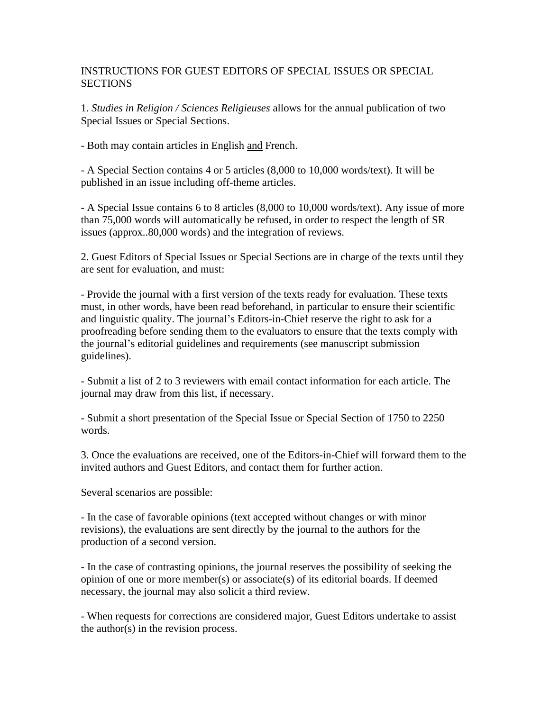## INSTRUCTIONS FOR GUEST EDITORS OF SPECIAL ISSUES OR SPECIAL **SECTIONS**

1. *Studies in Religion / Sciences Religieuses* allows for the annual publication of two Special Issues or Special Sections.

- Both may contain articles in English and French.

- A Special Section contains 4 or 5 articles (8,000 to 10,000 words/text). It will be published in an issue including off-theme articles.

- A Special Issue contains 6 to 8 articles (8,000 to 10,000 words/text). Any issue of more than 75,000 words will automatically be refused, in order to respect the length of SR issues (approx..80,000 words) and the integration of reviews.

2. Guest Editors of Special Issues or Special Sections are in charge of the texts until they are sent for evaluation, and must:

- Provide the journal with a first version of the texts ready for evaluation. These texts must, in other words, have been read beforehand, in particular to ensure their scientific and linguistic quality. The journal's Editors-in-Chief reserve the right to ask for a proofreading before sending them to the evaluators to ensure that the texts comply with the journal's editorial guidelines and requirements (see manuscript submission guidelines).

- Submit a list of 2 to 3 reviewers with email contact information for each article. The journal may draw from this list, if necessary.

- Submit a short presentation of the Special Issue or Special Section of 1750 to 2250 words.

3. Once the evaluations are received, one of the Editors-in-Chief will forward them to the invited authors and Guest Editors, and contact them for further action.

Several scenarios are possible:

- In the case of favorable opinions (text accepted without changes or with minor revisions), the evaluations are sent directly by the journal to the authors for the production of a second version.

- In the case of contrasting opinions, the journal reserves the possibility of seeking the opinion of one or more member(s) or associate(s) of its editorial boards. If deemed necessary, the journal may also solicit a third review.

- When requests for corrections are considered major, Guest Editors undertake to assist the author(s) in the revision process.